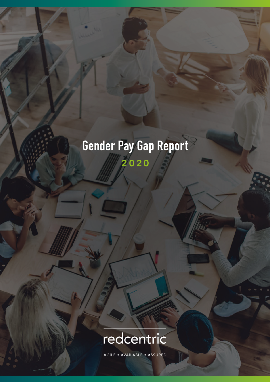## Gender Pay Gap Report 2020



AGILE • AVAILABLE • ASSURED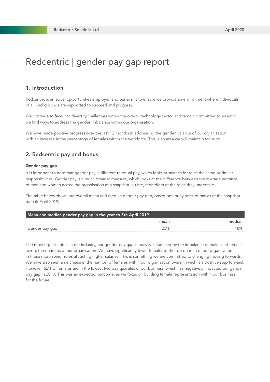## Redcentric | gender pay gap report

#### 1. Introduction

Redcentric is an equal opportunities employer, and our aim is to ensure we provide an environment where individuals of all backgrounds are supported to succeed and progress.

We continue to face into diversity challenges within the overall technology sector and remain committed to ensuring we find ways to address the gender imbalance within our organisation.

We have made positive progress over the last 12 months in addressing the gender balance of our organisation, with an increase in the percentage of females within the workforce. This is an area we will maintain focus on.

#### 2. Redcentric pay and bonus

#### Gender pay gap

It is important to note that gender pay is different to equal pay, which looks at salaries for roles the same or similar responsibilities. Gender pay is a much broader measure, which looks at the difference between the average earnings of men and women across the organisation at a snapshot in time, regardless of the roles they undertake.

The table below shows our overall mean and median gender pay gap, based on hourly rates of pay as at the snapshot date (5 April 2019).

| Mean and median gender pay gap in the year to 5th April 2019 |      |     |
|--------------------------------------------------------------|------|-----|
|                                                              | mean |     |
| Gender pay gap                                               |      | '8% |

Like most organisations in our industry, our gender pay gap is heavily influenced by the imbalance of males and females across the quartiles of our organisation. We have significantly fewer females in the top quartile of our organisation, in those more senior roles attracting higher salaries. This is something we are committed to changing moving forwards. We have also seen an increase in the number of females within our organisation overall, which is a positive step forward. However, 62% of females are in the lowest two pay quartiles of our business, which has negatively impacted our gender pay gap in 2019. This was an expected outcome, as we focus on building female representation within our business for the future.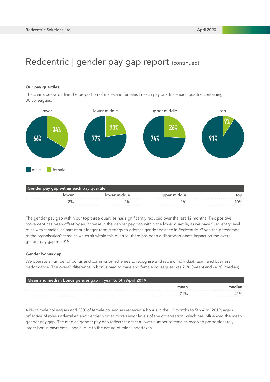## Redcentric | gender pay gap report (continued)

#### Our pay quartiles

The charts below outline the proportion of males and females in each pay quartile – each quartile containing 80 colleagues.



The gender pay gap within our top three quartiles has significantly reduced over the last 12 months. This positive movement has been offset by an increase in the gender pay gap within the lower quartile, as we have filled entry level roles with females, as part of our longer-term strategy to address gender balance in Redcentric. Given the percentage of the organisation's females which sit within this quartile, there has been a disproportionate impact on the overall gender pay gap in 2019.

#### Gender bonus gap

We operate a number of bonus and commission schemes to recognise and reward individual, team and business performance. The overall difference in bonus paid to male and female colleagues was 71% (mean) and -41% (median).

| Mean and median bonus gender gap in year to 5th April 2019 |      |  |  |
|------------------------------------------------------------|------|--|--|
|                                                            | mean |  |  |
|                                                            |      |  |  |

41% of male colleagues and 28% of female colleagues received a bonus in the 12 months to 5th April 2019, again reflective of roles undertaken and gender split at more senior levels of the organisation, which has influenced the mean gender pay gap. The median gender pay gap reflects the fact a lower number of females received proportionately larger bonus payments – again, due to the nature of roles undertaken.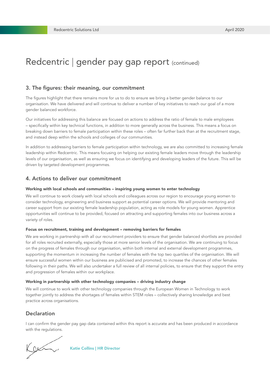## Redcentric | gender pay gap report (continued)

#### 3. The figures: their meaning, our commitment

The figures highlight that there remains more for us to do to ensure we bring a better gender balance to our organisation. We have delivered and will continue to deliver a number of key initiatives to reach our goal of a more gender balanced workforce.

Our initiatives for addressing this balance are focused on actions to address the ratio of female to male employees – specifically within key technical functions, in addition to more generally across the business. This means a focus on breaking down barriers to female participation within these roles – often far further back than at the recruitment stage, and instead deep within the schools and colleges of our communities.

In addition to addressing barriers to female participation within technology, we are also committed to increasing female leadership within Redcentric. This means focusing on helping our existing female leaders move through the leadership levels of our organisation, as well as ensuring we focus on identifying and developing leaders of the future. This will be driven by targeted development programmes.

#### 4. Actions to deliver our commitment

#### Working with local schools and communities – inspiring young women to enter technology

We will continue to work closely with local schools and colleagues across our region to encourage young women to consider technology, engineering and business support as potential career options. We will provide mentoring and career support from our existing female leadership population, acting as role models for young women. Apprentice opportunities will continue to be provided, focused on attracting and supporting females into our business across a variety of roles.

#### Focus on recruitment, training and development – removing barriers for females

We are working in partnership with all our recruitment providers to ensure that gender balanced shortlists are provided for all roles recruited externally, especially those at more senior levels of the organisation. We are continuing to focus on the progress of females through our organisation, within both internal and external development programmes, supporting the momentum in increasing the number of females with the top two quartiles of the organisation. We will ensure successful women within our business are publicised and promoted, to increase the chances of other females following in their paths. We will also undertaker a full review of all internal policies, to ensure that they support the entry and progression of females within our workplace.

#### Working in partnership with other technology companies – driving industry change

We will continue to work with other technology companies through the European Women in Technology to work together jointly to address the shortages of females within STEM roles – collectively sharing knowledge and best practice across organisations.

#### Declaration

I can confirm the gender pay gap data contained within this report is accurate and has been produced in accordance with the regulations.

Kam

Katie Collins | HR Director